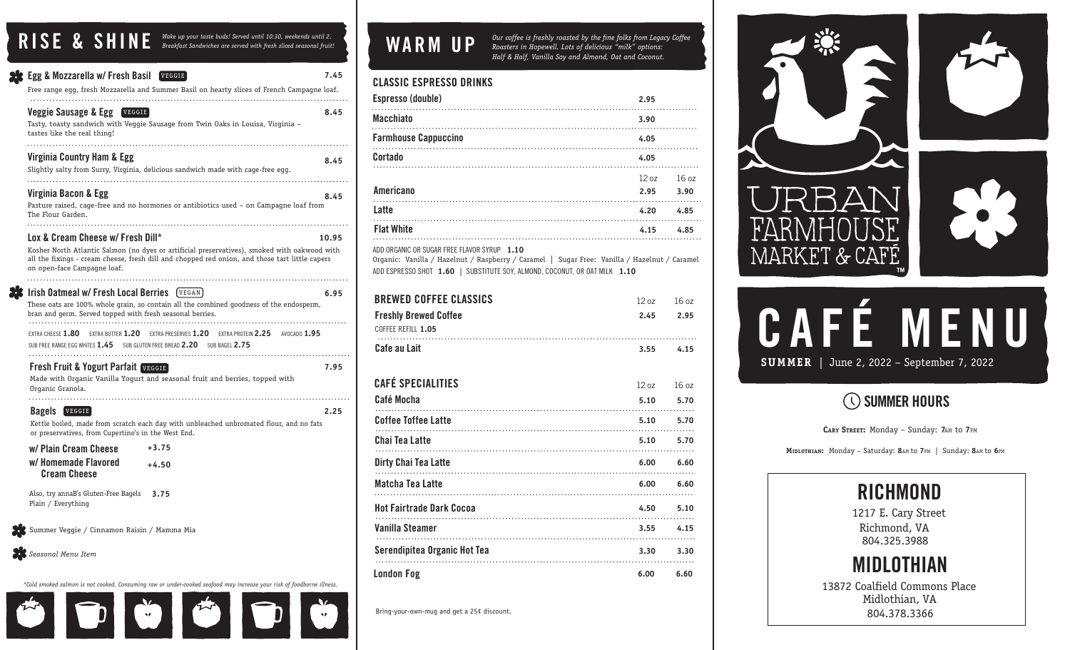RISE & SHINE *Wake up your taste buds! Served until 10:30, weekends until 2.*<br>Breakfast Sandwiches are served with fresh sliced seasonal fruit!

| <b>Egg &amp; Mozzarella w/ Fresh Basil [VEGGIE]</b>                                               | Free range egg, fresh Mozzarella and Summer Basil on hearty slices of French Campagne loaf.                                                                                                    | 7.45  |
|---------------------------------------------------------------------------------------------------|------------------------------------------------------------------------------------------------------------------------------------------------------------------------------------------------|-------|
| Veggie Sausage & Egg<br>VEGGIE<br>tastes like the real thing!                                     | Tasty, toasty sandwich with Veggie Sausage from Twin Oaks in Louisa, Virginia -                                                                                                                | 8.45  |
| Virginia Country Ham & Egg                                                                        | Slightly salty from Surry, Virginia, delicious sandwich made with cage-free egg.                                                                                                               | 8.45  |
| .<br>Virginia Bacon & Egg<br>The Flour Garden.<br>.                                               | Pasture raised, cage-free and no hormones or antibiotics used – on Campagne loaf from                                                                                                          | 8.45  |
|                                                                                                   |                                                                                                                                                                                                |       |
| Lox & Cream Cheese w/ Fresh Dill*                                                                 |                                                                                                                                                                                                | 10.95 |
| on open-face Campagne loaf.                                                                       | Kosher North Atlantic Salmon (no dyes or artificial preservatives), smoked with oakwood with<br>all the fixings - cream cheese, fresh dill and chopped red onion, and those tart little capers |       |
|                                                                                                   |                                                                                                                                                                                                |       |
| Irish Oatmeal w/ Fresh Local Berries<br>bran and germ. Served topped with fresh seasonal berries. | VEGAN<br>These oats are 100% whole grain, so contain all the combined goodness of the endosperm,                                                                                               | 6.95  |
| <b>FXTRA CHEESE 1.80</b><br>EXTRA BUTTER 1.20<br>SUB FREE RANGE EGG WHITES 1.45                   | EXTRA PRESERVES 1.20<br>EXTRA PROTEIN 2.25<br>AVOCADO 1.95<br>SUB GLUTEN FREE BREAD 2.20<br>SUB BAGEL 2.75                                                                                     |       |
| <b>Fresh Fruit &amp; Yogurt Parfait VEGGIE</b>                                                    |                                                                                                                                                                                                | 7.95  |
| Organic Granola.                                                                                  | Made with Organic Vanilla Yogurt and seasonal fruit and berries, topped with                                                                                                                   |       |
|                                                                                                   |                                                                                                                                                                                                |       |
| <b>Bagels VEGGIE</b>                                                                              |                                                                                                                                                                                                | 2.25  |
| or preservatives, from Cupertino's in the West End.                                               | Kettle boiled, made from scratch each day with unbleached unbromated flour, and no fats                                                                                                        |       |
| w/ Plain Cream Cheese                                                                             | $+3.75$                                                                                                                                                                                        |       |
| w/ Homemade Flavored<br><b>Cream Cheese</b>                                                       | $+4.50$                                                                                                                                                                                        |       |
| Also, try annaB's Gluten-Free Bagels<br>Plain / Everything                                        | 3.75                                                                                                                                                                                           |       |
| Summer Veggie / Cinnamon Raisin / Mamma Mia                                                       |                                                                                                                                                                                                |       |
| Seasonal Menu Item                                                                                |                                                                                                                                                                                                |       |
|                                                                                                   |                                                                                                                                                                                                |       |



# WARM UP

*Our coffee is freshly roasted by the fine folks from Legacy Coffee Roasters in Hopewell. Lots of delicious "milk" options: Half & Half, Vanilla Soy and Almond, Oat and Coconut.*

| <b>CLASSIC ESPRESSO DRINKS</b> |  |
|--------------------------------|--|
|                                |  |

| Espresso (double)                                                                                                                                                                                                                             | 2.95                         |
|-----------------------------------------------------------------------------------------------------------------------------------------------------------------------------------------------------------------------------------------------|------------------------------|
| <b>Macchiato</b>                                                                                                                                                                                                                              | 3.90                         |
| <b>Farmhouse Cappuccino</b>                                                                                                                                                                                                                   | 4.05                         |
| Cortado                                                                                                                                                                                                                                       | 4.05                         |
| Americano<br>المحدد المستخدم المستخدم المستخدم المستخدم المستخدم المستخدم المستخدم المستخدم المستخدم المستخدم المستخدم المس<br>المستخدم المستخدم المستخدم المستخدم المستخدم المستخدم المستخدم المستخدم المستخدم المستخدم المستخدم المستخدم ال | $12 oz$ $16 oz$<br>2.95 3.90 |
| Latte                                                                                                                                                                                                                                         | 4.85<br>4.20                 |
| <b>Flat White</b>                                                                                                                                                                                                                             | 4.15 4.85                    |
|                                                                                                                                                                                                                                               |                              |

ADD ORGANIC OR SUGAR FREE FLAVOR SYRUP **1.10** Organic: Vanilla / Hazelnut / Raspberry / Caramel | Sugar Free: Vanilla / Hazelnut / Caramel ADD ESPRESSO SHOT **1.60** | SUBSTITUTE SOY, ALMOND, COCONUT, OR OAT MILK **1.10**

| <b>BREWED COFFEE CLASSICS</b>                      | 120z | 160z |
|----------------------------------------------------|------|------|
| <b>Freshly Brewed Coffee</b><br>COFFEE REFILL 1.05 | 2.45 | 2.95 |
| Cafe au Lait                                       | 3.55 | 4.15 |
| <b>CAFÉ SPECIALITIES</b>                           | 120z | 160z |
| Café Mocha                                         | 5.10 | 5.70 |
| <b>Coffee Toffee Latte</b>                         | 5.10 | 5.70 |
| Chai Tea Latte                                     | 5.10 | 5.70 |
| <b>Dirty Chai Tea Latte</b>                        | 6.00 | 6.60 |
| Matcha Tea Latte                                   | 6.00 | 6.60 |
| <b>Hot Fairtrade Dark Cocoa</b>                    | 4.50 | 5.10 |
| Vanilla Steamer                                    | 3.55 | 4.15 |
| Serendipitea Organic Hot Tea                       | 3.30 | 3.30 |
| <b>London Fog</b>                                  | 6.00 | 6.60 |

Bring-your-own-mug and get a 25¢ discount.



# CAFÉ MENU **SUMMER** | June 2, 2022 – September 7, 2022

### **(C) SUMMER HOURS**

**CARY STREET :** Monday – Sunday: **7**AM to **7**PM

**MIDLOTHIAN:** Monday – Saturday: **8**AM to **7**PM | Sunday: **8**AM to **6**PM



1217 E. Cary Street Richmond, VA 804.325.3988



13872 Coalfield Commons Place Midlothian, VA 804.378.3366